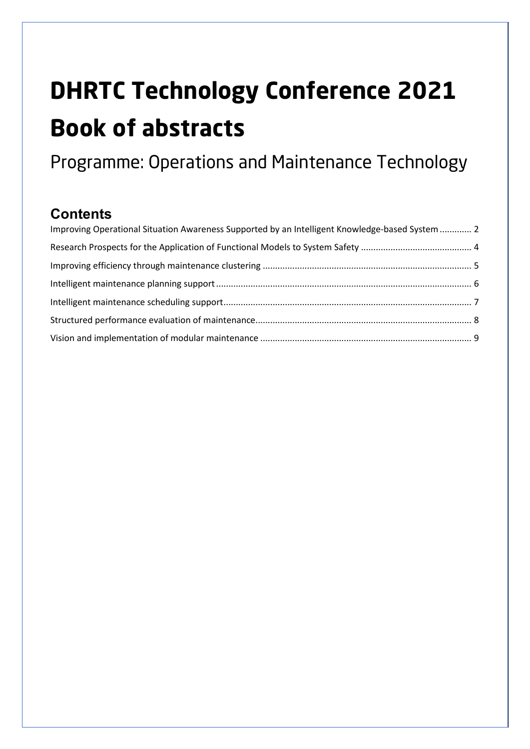# **DHRTC Technology Conference 2021 Book of abstracts**

Programme: Operations and Maintenance Technology

# **Contents**

| Improving Operational Situation Awareness Supported by an Intelligent Knowledge-based System  2 |  |
|-------------------------------------------------------------------------------------------------|--|
|                                                                                                 |  |
|                                                                                                 |  |
|                                                                                                 |  |
|                                                                                                 |  |
|                                                                                                 |  |
|                                                                                                 |  |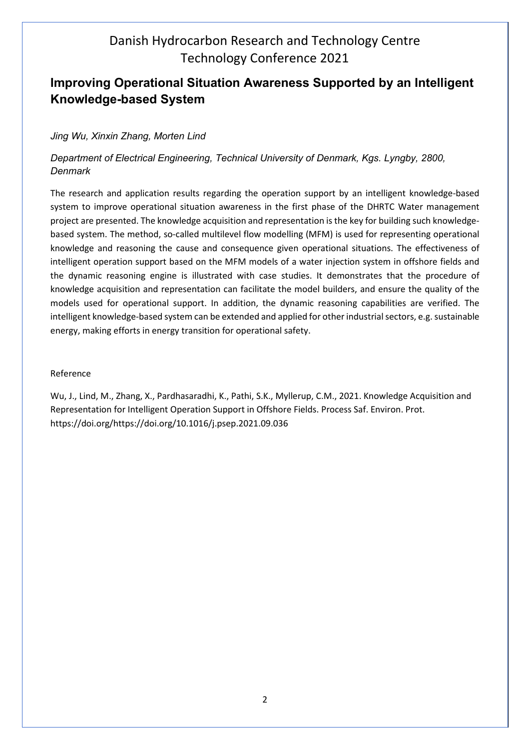## <span id="page-1-0"></span>**Improving Operational Situation Awareness Supported by an Intelligent Knowledge-based System**

#### *Jing Wu, Xinxin Zhang, Morten Lind*

#### *Department of Electrical Engineering, Technical University of Denmark, Kgs. Lyngby, 2800, Denmark*

The research and application results regarding the operation support by an intelligent knowledge-based system to improve operational situation awareness in the first phase of the DHRTC Water management project are presented. The knowledge acquisition and representation is the key for building such knowledgebased system. The method, so-called multilevel flow modelling (MFM) is used for representing operational knowledge and reasoning the cause and consequence given operational situations. The effectiveness of intelligent operation support based on the MFM models of a water injection system in offshore fields and the dynamic reasoning engine is illustrated with case studies. It demonstrates that the procedure of knowledge acquisition and representation can facilitate the model builders, and ensure the quality of the models used for operational support. In addition, the dynamic reasoning capabilities are verified. The intelligent knowledge-based system can be extended and applied for other industrial sectors, e.g. sustainable energy, making efforts in energy transition for operational safety.

#### Reference

Wu, J., Lind, M., Zhang, X., Pardhasaradhi, K., Pathi, S.K., Myllerup, C.M., 2021. Knowledge Acquisition and Representation for Intelligent Operation Support in Offshore Fields. Process Saf. Environ. Prot. https://doi.org/https://doi.org/10.1016/j.psep.2021.09.036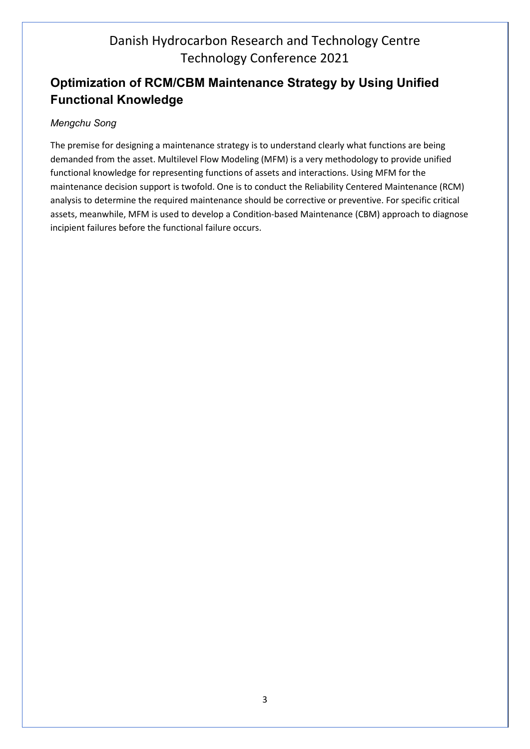## **Optimization of RCM/CBM Maintenance Strategy by Using Unified Functional Knowledge**

#### *Mengchu Song*

The premise for designing a maintenance strategy is to understand clearly what functions are being demanded from the asset. Multilevel Flow Modeling (MFM) is a very methodology to provide unified functional knowledge for representing functions of assets and interactions. Using MFM for the maintenance decision support is twofold. One is to conduct the Reliability Centered Maintenance (RCM) analysis to determine the required maintenance should be corrective or preventive. For specific critical assets, meanwhile, MFM is used to develop a Condition-based Maintenance (CBM) approach to diagnose incipient failures before the functional failure occurs.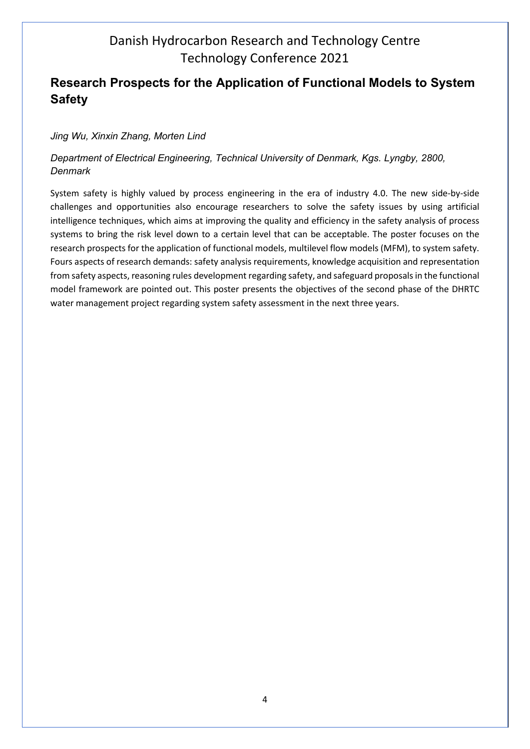## <span id="page-3-0"></span>**Research Prospects for the Application of Functional Models to System Safety**

#### *Jing Wu, Xinxin Zhang, Morten Lind*

#### *Department of Electrical Engineering, Technical University of Denmark, Kgs. Lyngby, 2800, Denmark*

System safety is highly valued by process engineering in the era of industry 4.0. The new side-by-side challenges and opportunities also encourage researchers to solve the safety issues by using artificial intelligence techniques, which aims at improving the quality and efficiency in the safety analysis of process systems to bring the risk level down to a certain level that can be acceptable. The poster focuses on the research prospects for the application of functional models, multilevel flow models (MFM), to system safety. Fours aspects of research demands: safety analysis requirements, knowledge acquisition and representation from safety aspects, reasoning rules development regarding safety, and safeguard proposals in the functional model framework are pointed out. This poster presents the objectives of the second phase of the DHRTC water management project regarding system safety assessment in the next three years.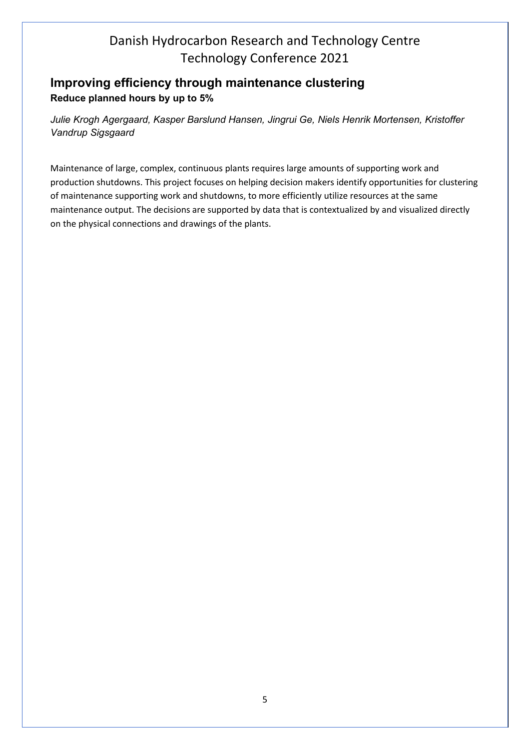## <span id="page-4-0"></span>**Improving efficiency through maintenance clustering Reduce planned hours by up to 5%**

*Julie Krogh Agergaard, Kasper Barslund Hansen, Jingrui Ge, Niels Henrik Mortensen, Kristoffer Vandrup Sigsgaard* 

Maintenance of large, complex, continuous plants requires large amounts of supporting work and production shutdowns. This project focuses on helping decision makers identify opportunities for clustering of maintenance supporting work and shutdowns, to more efficiently utilize resources at the same maintenance output. The decisions are supported by data that is contextualized by and visualized directly on the physical connections and drawings of the plants.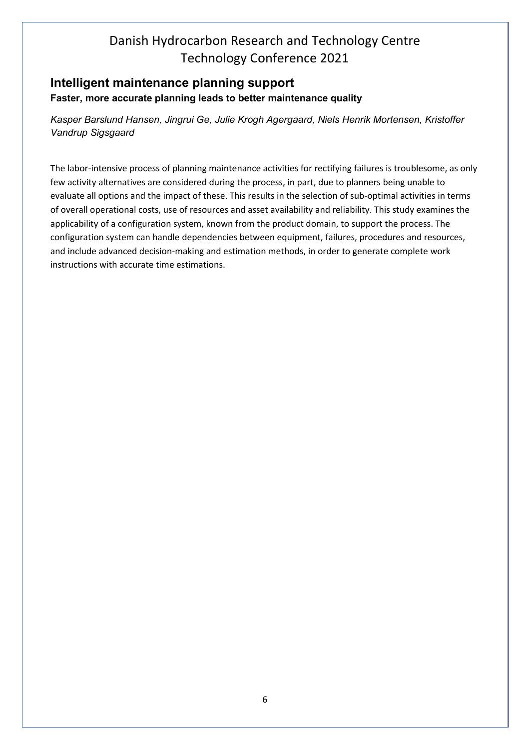## <span id="page-5-0"></span>**Intelligent maintenance planning support Faster, more accurate planning leads to better maintenance quality**

*Kasper Barslund Hansen, Jingrui Ge, Julie Krogh Agergaard, Niels Henrik Mortensen, Kristoffer Vandrup Sigsgaard* 

The labor-intensive process of planning maintenance activities for rectifying failures is troublesome, as only few activity alternatives are considered during the process, in part, due to planners being unable to evaluate all options and the impact of these. This results in the selection of sub-optimal activities in terms of overall operational costs, use of resources and asset availability and reliability. This study examines the applicability of a configuration system, known from the product domain, to support the process. The configuration system can handle dependencies between equipment, failures, procedures and resources, and include advanced decision-making and estimation methods, in order to generate complete work instructions with accurate time estimations.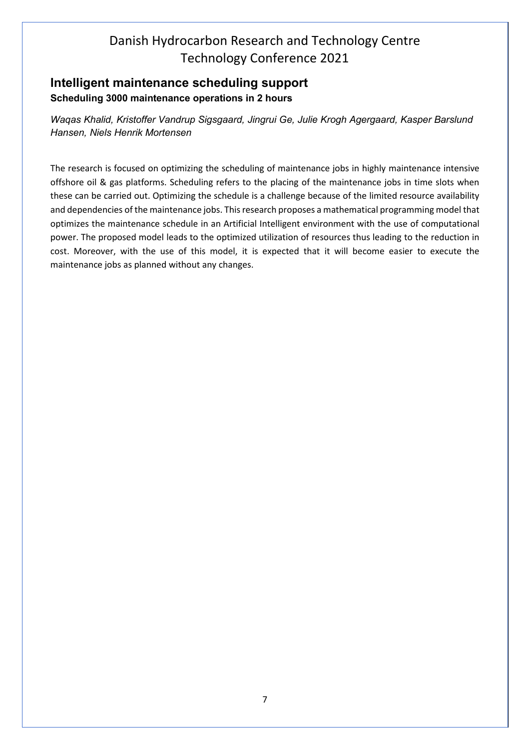## <span id="page-6-0"></span>**Intelligent maintenance scheduling support Scheduling 3000 maintenance operations in 2 hours**

*Waqas Khalid, Kristoffer Vandrup Sigsgaard, Jingrui Ge, Julie Krogh Agergaard, Kasper Barslund Hansen, Niels Henrik Mortensen* 

The research is focused on optimizing the scheduling of maintenance jobs in highly maintenance intensive offshore oil & gas platforms. Scheduling refers to the placing of the maintenance jobs in time slots when these can be carried out. Optimizing the schedule is a challenge because of the limited resource availability and dependencies of the maintenance jobs. This research proposes a mathematical programming model that optimizes the maintenance schedule in an Artificial Intelligent environment with the use of computational power. The proposed model leads to the optimized utilization of resources thus leading to the reduction in cost. Moreover, with the use of this model, it is expected that it will become easier to execute the maintenance jobs as planned without any changes.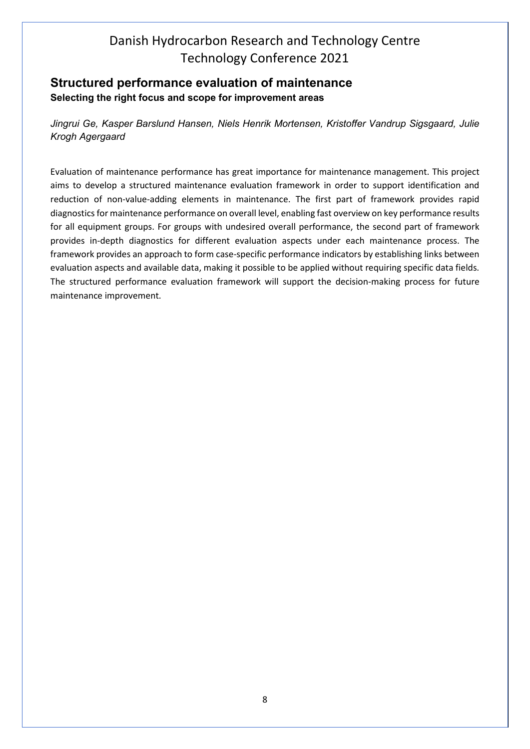## <span id="page-7-0"></span>**Structured performance evaluation of maintenance Selecting the right focus and scope for improvement areas**

*Jingrui Ge, Kasper Barslund Hansen, Niels Henrik Mortensen, Kristoffer Vandrup Sigsgaard, Julie Krogh Agergaard*

Evaluation of maintenance performance has great importance for maintenance management. This project aims to develop a structured maintenance evaluation framework in order to support identification and reduction of non-value-adding elements in maintenance. The first part of framework provides rapid diagnostics for maintenance performance on overall level, enabling fast overview on key performance results for all equipment groups. For groups with undesired overall performance, the second part of framework provides in-depth diagnostics for different evaluation aspects under each maintenance process. The framework provides an approach to form case-specific performance indicators by establishing links between evaluation aspects and available data, making it possible to be applied without requiring specific data fields. The structured performance evaluation framework will support the decision-making process for future maintenance improvement.